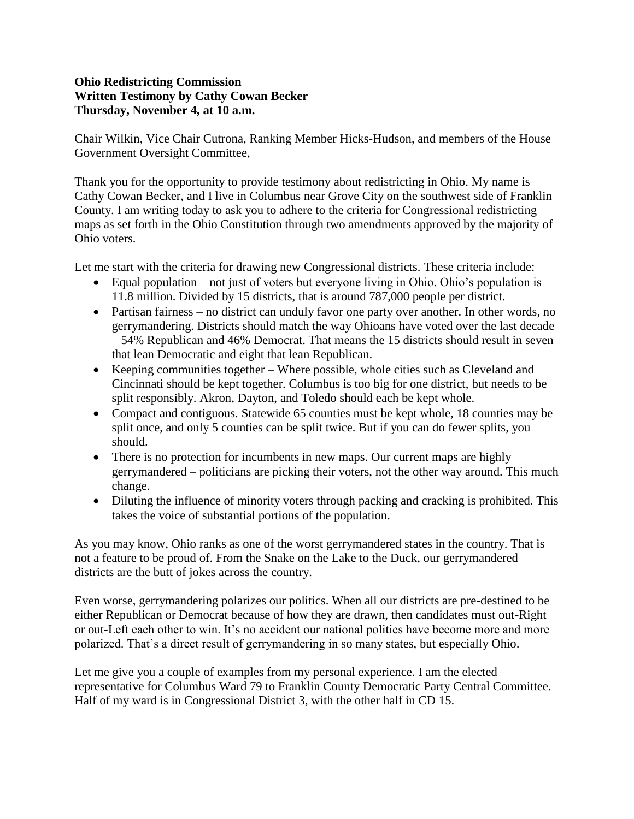## **Ohio Redistricting Commission Written Testimony by Cathy Cowan Becker Thursday, November 4, at 10 a.m.**

Chair Wilkin, Vice Chair Cutrona, Ranking Member Hicks-Hudson, and members of the House Government Oversight Committee,

Thank you for the opportunity to provide testimony about redistricting in Ohio. My name is Cathy Cowan Becker, and I live in Columbus near Grove City on the southwest side of Franklin County. I am writing today to ask you to adhere to the criteria for Congressional redistricting maps as set forth in the Ohio Constitution through two amendments approved by the majority of Ohio voters.

Let me start with the criteria for drawing new Congressional districts. These criteria include:

- Equal population not just of voters but everyone living in Ohio. Ohio's population is 11.8 million. Divided by 15 districts, that is around 787,000 people per district.
- Partisan fairness no district can unduly favor one party over another. In other words, no gerrymandering. Districts should match the way Ohioans have voted over the last decade – 54% Republican and 46% Democrat. That means the 15 districts should result in seven that lean Democratic and eight that lean Republican.
- Keeping communities together Where possible, whole cities such as Cleveland and Cincinnati should be kept together. Columbus is too big for one district, but needs to be split responsibly. Akron, Dayton, and Toledo should each be kept whole.
- Compact and contiguous. Statewide 65 counties must be kept whole, 18 counties may be split once, and only 5 counties can be split twice. But if you can do fewer splits, you should.
- There is no protection for incumbents in new maps. Our current maps are highly gerrymandered – politicians are picking their voters, not the other way around. This much change.
- Diluting the influence of minority voters through packing and cracking is prohibited. This takes the voice of substantial portions of the population.

As you may know, Ohio ranks as one of the worst gerrymandered states in the country. That is not a feature to be proud of. From the Snake on the Lake to the Duck, our gerrymandered districts are the butt of jokes across the country.

Even worse, gerrymandering polarizes our politics. When all our districts are pre-destined to be either Republican or Democrat because of how they are drawn, then candidates must out-Right or out-Left each other to win. It's no accident our national politics have become more and more polarized. That's a direct result of gerrymandering in so many states, but especially Ohio.

Let me give you a couple of examples from my personal experience. I am the elected representative for Columbus Ward 79 to Franklin County Democratic Party Central Committee. Half of my ward is in Congressional District 3, with the other half in CD 15.